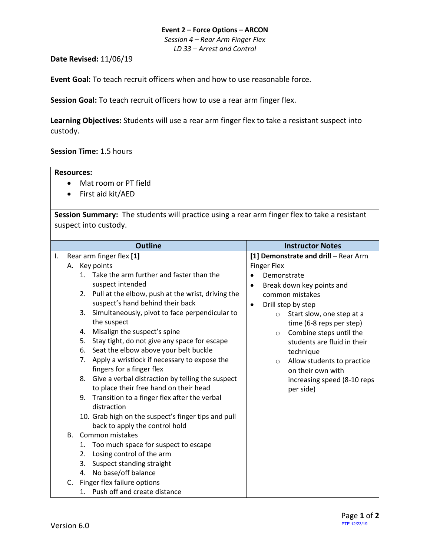#### **Event 2 – Force Options – ARCON**

*Session 4 – Rear Arm Finger Flex LD 33 – Arrest and Control*

## **Date Revised:** 11/06/19

**Event Goal:** To teach recruit officers when and how to use reasonable force.

**Session Goal:** To teach recruit officers how to use a rear arm finger flex.

**Learning Objectives:** Students will use a rear arm finger flex to take a resistant suspect into custody.

### **Session Time:** 1.5 hours

#### **Resources:**

- Mat room or PT field
- First aid kit/AED

**Session Summary:** The students will practice using a rear arm finger flex to take a resistant suspect into custody.

|    |             | <b>Outline</b>                                         | <b>Instructor Notes</b>                |  |  |  |  |  |
|----|-------------|--------------------------------------------------------|----------------------------------------|--|--|--|--|--|
| Ι. |             | Rear arm finger flex [1]                               | [1] Demonstrate and drill - Rear Arm   |  |  |  |  |  |
|    |             | A. Key points                                          | <b>Finger Flex</b>                     |  |  |  |  |  |
|    |             | 1. Take the arm further and faster than the            | Demonstrate<br>$\bullet$               |  |  |  |  |  |
|    |             | suspect intended                                       | Break down key points and<br>$\bullet$ |  |  |  |  |  |
|    |             | 2. Pull at the elbow, push at the wrist, driving the   | common mistakes                        |  |  |  |  |  |
|    |             | suspect's hand behind their back                       | Drill step by step<br>$\bullet$        |  |  |  |  |  |
|    |             | 3. Simultaneously, pivot to face perpendicular to      | Start slow, one step at a<br>$\circ$   |  |  |  |  |  |
|    |             | the suspect                                            | time (6-8 reps per step)               |  |  |  |  |  |
|    |             | Misalign the suspect's spine<br>4.                     | Combine steps until the<br>$\circ$     |  |  |  |  |  |
|    |             | Stay tight, do not give any space for escape<br>5.     | students are fluid in their            |  |  |  |  |  |
|    |             | Seat the elbow above your belt buckle<br>6.            | technique                              |  |  |  |  |  |
|    |             | Apply a wristlock if necessary to expose the<br>7.     | Allow students to practice<br>$\circ$  |  |  |  |  |  |
|    |             | fingers for a finger flex                              | on their own with                      |  |  |  |  |  |
|    |             | Give a verbal distraction by telling the suspect<br>8. | increasing speed (8-10 reps            |  |  |  |  |  |
|    |             | to place their free hand on their head                 | per side)                              |  |  |  |  |  |
|    |             | 9. Transition to a finger flex after the verbal        |                                        |  |  |  |  |  |
|    |             | distraction                                            |                                        |  |  |  |  |  |
|    |             | 10. Grab high on the suspect's finger tips and pull    |                                        |  |  |  |  |  |
|    |             | back to apply the control hold                         |                                        |  |  |  |  |  |
|    | $B_{\cdot}$ | Common mistakes                                        |                                        |  |  |  |  |  |
|    |             | Too much space for suspect to escape<br>1.             |                                        |  |  |  |  |  |
|    |             | Losing control of the arm<br>2.                        |                                        |  |  |  |  |  |
|    |             | Suspect standing straight<br>3.                        |                                        |  |  |  |  |  |
|    |             | No base/off balance<br>4.                              |                                        |  |  |  |  |  |
|    | C.          | Finger flex failure options                            |                                        |  |  |  |  |  |
|    |             | 1. Push off and create distance                        |                                        |  |  |  |  |  |